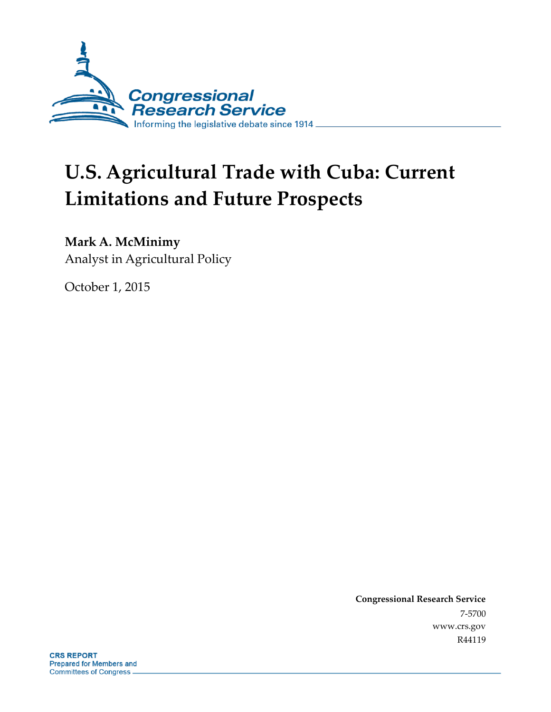

# **U.S. Agricultural Trade with Cuba: Current Limitations and Future Prospects**

## **Mark A. McMinimy**

Analyst in Agricultural Policy

October 1, 2015

**Congressional Research Service** 7-5700 www.crs.gov R44119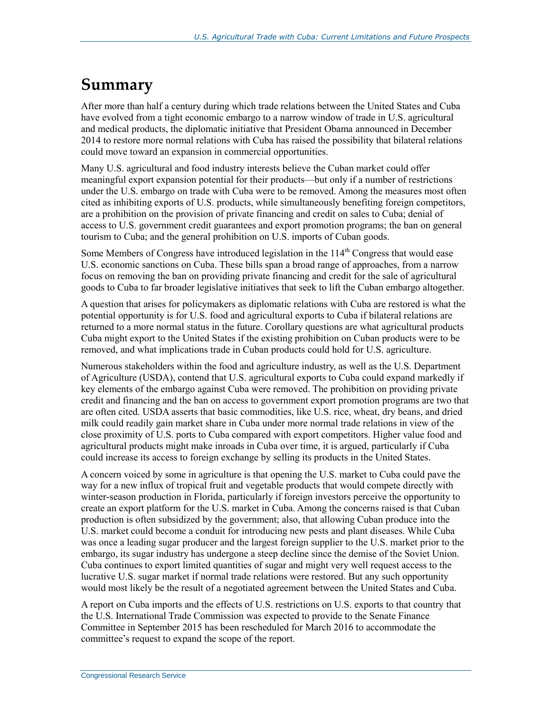## **Summary**

After more than half a century during which trade relations between the United States and Cuba have evolved from a tight economic embargo to a narrow window of trade in U.S. agricultural and medical products, the diplomatic initiative that President Obama announced in December 2014 to restore more normal relations with Cuba has raised the possibility that bilateral relations could move toward an expansion in commercial opportunities.

Many U.S. agricultural and food industry interests believe the Cuban market could offer meaningful export expansion potential for their products—but only if a number of restrictions under the U.S. embargo on trade with Cuba were to be removed. Among the measures most often cited as inhibiting exports of U.S. products, while simultaneously benefiting foreign competitors, are a prohibition on the provision of private financing and credit on sales to Cuba; denial of access to U.S. government credit guarantees and export promotion programs; the ban on general tourism to Cuba; and the general prohibition on U.S. imports of Cuban goods.

Some Members of Congress have introduced legislation in the 114<sup>th</sup> Congress that would ease U.S. economic sanctions on Cuba. These bills span a broad range of approaches, from a narrow focus on removing the ban on providing private financing and credit for the sale of agricultural goods to Cuba to far broader legislative initiatives that seek to lift the Cuban embargo altogether.

A question that arises for policymakers as diplomatic relations with Cuba are restored is what the potential opportunity is for U.S. food and agricultural exports to Cuba if bilateral relations are returned to a more normal status in the future. Corollary questions are what agricultural products Cuba might export to the United States if the existing prohibition on Cuban products were to be removed, and what implications trade in Cuban products could hold for U.S. agriculture.

Numerous stakeholders within the food and agriculture industry, as well as the U.S. Department of Agriculture (USDA), contend that U.S. agricultural exports to Cuba could expand markedly if key elements of the embargo against Cuba were removed. The prohibition on providing private credit and financing and the ban on access to government export promotion programs are two that are often cited. USDA asserts that basic commodities, like U.S. rice, wheat, dry beans, and dried milk could readily gain market share in Cuba under more normal trade relations in view of the close proximity of U.S. ports to Cuba compared with export competitors. Higher value food and agricultural products might make inroads in Cuba over time, it is argued, particularly if Cuba could increase its access to foreign exchange by selling its products in the United States.

A concern voiced by some in agriculture is that opening the U.S. market to Cuba could pave the way for a new influx of tropical fruit and vegetable products that would compete directly with winter-season production in Florida, particularly if foreign investors perceive the opportunity to create an export platform for the U.S. market in Cuba. Among the concerns raised is that Cuban production is often subsidized by the government; also, that allowing Cuban produce into the U.S. market could become a conduit for introducing new pests and plant diseases. While Cuba was once a leading sugar producer and the largest foreign supplier to the U.S. market prior to the embargo, its sugar industry has undergone a steep decline since the demise of the Soviet Union. Cuba continues to export limited quantities of sugar and might very well request access to the lucrative U.S. sugar market if normal trade relations were restored. But any such opportunity would most likely be the result of a negotiated agreement between the United States and Cuba.

A report on Cuba imports and the effects of U.S. restrictions on U.S. exports to that country that the U.S. International Trade Commission was expected to provide to the Senate Finance Committee in September 2015 has been rescheduled for March 2016 to accommodate the committee's request to expand the scope of the report.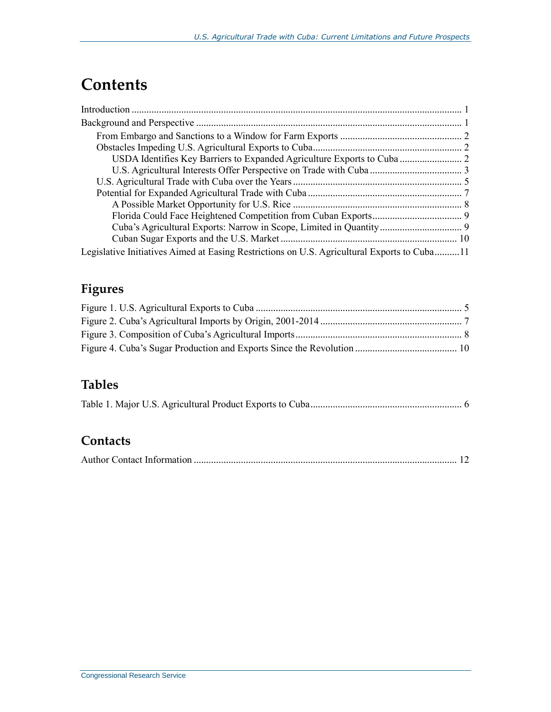## **Contents**

| USDA Identifies Key Barriers to Expanded Agriculture Exports to Cuba  2                     |  |
|---------------------------------------------------------------------------------------------|--|
|                                                                                             |  |
|                                                                                             |  |
|                                                                                             |  |
|                                                                                             |  |
|                                                                                             |  |
|                                                                                             |  |
|                                                                                             |  |
| Legislative Initiatives Aimed at Easing Restrictions on U.S. Agricultural Exports to Cuba11 |  |

## **Figures**

## **Tables**

### **Contacts**

|--|--|--|--|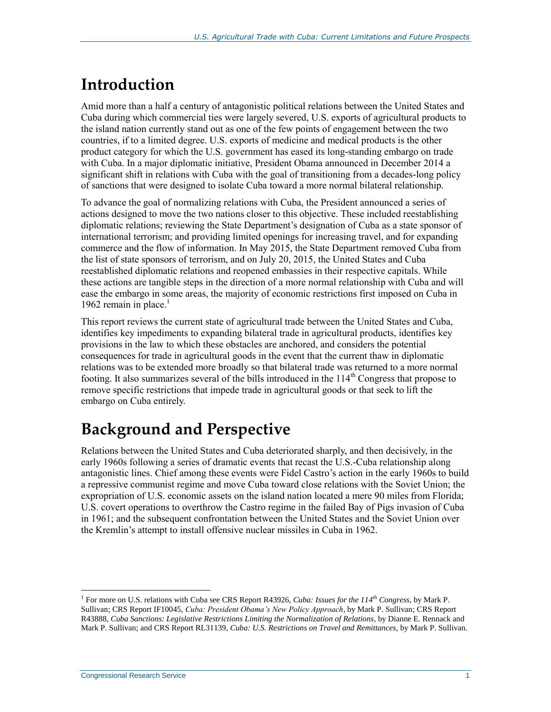## **Introduction**

Amid more than a half a century of antagonistic political relations between the United States and Cuba during which commercial ties were largely severed, U.S. exports of agricultural products to the island nation currently stand out as one of the few points of engagement between the two countries, if to a limited degree. U.S. exports of medicine and medical products is the other product category for which the U.S. government has eased its long-standing embargo on trade with Cuba. In a major diplomatic initiative, President Obama announced in December 2014 a significant shift in relations with Cuba with the goal of transitioning from a decades-long policy of sanctions that were designed to isolate Cuba toward a more normal bilateral relationship.

To advance the goal of normalizing relations with Cuba, the President announced a series of actions designed to move the two nations closer to this objective. These included reestablishing diplomatic relations; reviewing the State Department's designation of Cuba as a state sponsor of international terrorism; and providing limited openings for increasing travel, and for expanding commerce and the flow of information. In May 2015, the State Department removed Cuba from the list of state sponsors of terrorism, and on July 20, 2015, the United States and Cuba reestablished diplomatic relations and reopened embassies in their respective capitals. While these actions are tangible steps in the direction of a more normal relationship with Cuba and will ease the embargo in some areas, the majority of economic restrictions first imposed on Cuba in 1962 remain in place. $<sup>1</sup>$ </sup>

This report reviews the current state of agricultural trade between the United States and Cuba, identifies key impediments to expanding bilateral trade in agricultural products, identifies key provisions in the law to which these obstacles are anchored, and considers the potential consequences for trade in agricultural goods in the event that the current thaw in diplomatic relations was to be extended more broadly so that bilateral trade was returned to a more normal footing. It also summarizes several of the bills introduced in the  $114<sup>th</sup>$  Congress that propose to remove specific restrictions that impede trade in agricultural goods or that seek to lift the embargo on Cuba entirely.

## **Background and Perspective**

Relations between the United States and Cuba deteriorated sharply, and then decisively, in the early 1960s following a series of dramatic events that recast the U.S.-Cuba relationship along antagonistic lines. Chief among these events were Fidel Castro's action in the early 1960s to build a repressive communist regime and move Cuba toward close relations with the Soviet Union; the expropriation of U.S. economic assets on the island nation located a mere 90 miles from Florida; U.S. covert operations to overthrow the Castro regime in the failed Bay of Pigs invasion of Cuba in 1961; and the subsequent confrontation between the United States and the Soviet Union over the Kremlin's attempt to install offensive nuclear missiles in Cuba in 1962.

 $\overline{a}$ 1 For more on U.S. relations with Cuba see CRS Report R43926, *Cuba: Issues for the 114th Congress*, by Mark P. Sullivan; CRS Report IF10045, *Cuba: President Obama's New Policy Approach*, by Mark P. Sullivan; CRS Report R43888, *Cuba Sanctions: Legislative Restrictions Limiting the Normalization of Relations*, by Dianne E. Rennack and Mark P. Sullivan; and CRS Report RL31139, *Cuba: U.S. Restrictions on Travel and Remittances*, by Mark P. Sullivan.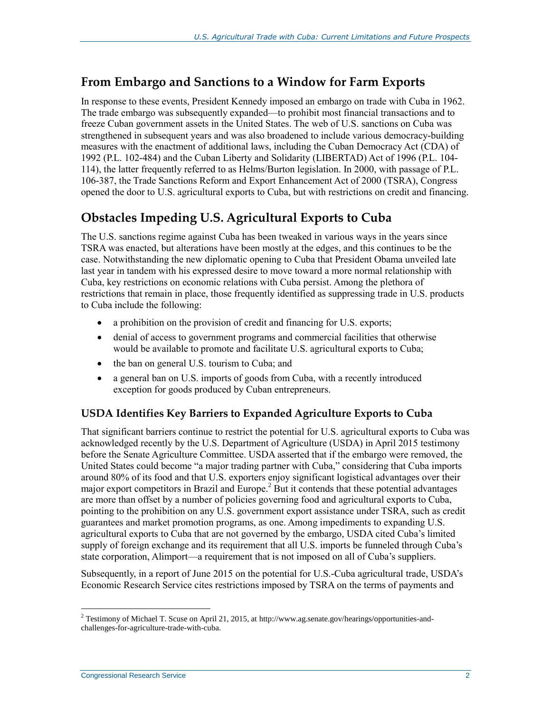### **From Embargo and Sanctions to a Window for Farm Exports**

In response to these events, President Kennedy imposed an embargo on trade with Cuba in 1962. The trade embargo was subsequently expanded—to prohibit most financial transactions and to freeze Cuban government assets in the United States. The web of U.S. sanctions on Cuba was strengthened in subsequent years and was also broadened to include various democracy-building measures with the enactment of additional laws, including the Cuban Democracy Act (CDA) of 1992 (P.L. 102-484) and the Cuban Liberty and Solidarity (LIBERTAD) Act of 1996 (P.L. 104- 114), the latter frequently referred to as Helms/Burton legislation. In 2000, with passage of P.L. 106-387, the Trade Sanctions Reform and Export Enhancement Act of 2000 (TSRA), Congress opened the door to U.S. agricultural exports to Cuba, but with restrictions on credit and financing.

### **Obstacles Impeding U.S. Agricultural Exports to Cuba**

The U.S. sanctions regime against Cuba has been tweaked in various ways in the years since TSRA was enacted, but alterations have been mostly at the edges, and this continues to be the case. Notwithstanding the new diplomatic opening to Cuba that President Obama unveiled late last year in tandem with his expressed desire to move toward a more normal relationship with Cuba, key restrictions on economic relations with Cuba persist. Among the plethora of restrictions that remain in place, those frequently identified as suppressing trade in U.S. products to Cuba include the following:

- a prohibition on the provision of credit and financing for U.S. exports;
- denial of access to government programs and commercial facilities that otherwise would be available to promote and facilitate U.S. agricultural exports to Cuba;
- the ban on general U.S. tourism to Cuba; and
- a general ban on U.S. imports of goods from Cuba, with a recently introduced exception for goods produced by Cuban entrepreneurs.

#### **USDA Identifies Key Barriers to Expanded Agriculture Exports to Cuba**

That significant barriers continue to restrict the potential for U.S. agricultural exports to Cuba was acknowledged recently by the U.S. Department of Agriculture (USDA) in April 2015 testimony before the Senate Agriculture Committee. USDA asserted that if the embargo were removed, the United States could become "a major trading partner with Cuba," considering that Cuba imports around 80% of its food and that U.S. exporters enjoy significant logistical advantages over their major export competitors in Brazil and Europe.<sup>2</sup> But it contends that these potential advantages are more than offset by a number of policies governing food and agricultural exports to Cuba, pointing to the prohibition on any U.S. government export assistance under TSRA, such as credit guarantees and market promotion programs, as one. Among impediments to expanding U.S. agricultural exports to Cuba that are not governed by the embargo, USDA cited Cuba's limited supply of foreign exchange and its requirement that all U.S. imports be funneled through Cuba's state corporation, Alimport—a requirement that is not imposed on all of Cuba's suppliers.

Subsequently, in a report of June 2015 on the potential for U.S.-Cuba agricultural trade, USDA's Economic Research Service cites restrictions imposed by TSRA on the terms of payments and

 $2$  Testimony of Michael T. Scuse on April 21, 2015, at http://www.ag.senate.gov/hearings/opportunities-andchallenges-for-agriculture-trade-with-cuba.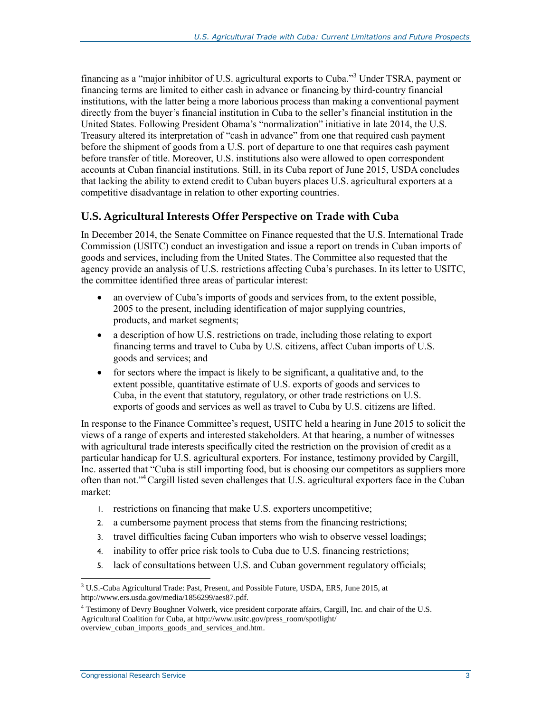financing as a "major inhibitor of U.S. agricultural exports to Cuba."<sup>3</sup> Under TSRA, payment or financing terms are limited to either cash in advance or financing by third-country financial institutions, with the latter being a more laborious process than making a conventional payment directly from the buyer's financial institution in Cuba to the seller's financial institution in the United States. Following President Obama's "normalization" initiative in late 2014, the U.S. Treasury altered its interpretation of "cash in advance" from one that required cash payment before the shipment of goods from a U.S. port of departure to one that requires cash payment before transfer of title. Moreover, U.S. institutions also were allowed to open correspondent accounts at Cuban financial institutions. Still, in its Cuba report of June 2015, USDA concludes that lacking the ability to extend credit to Cuban buyers places U.S. agricultural exporters at a competitive disadvantage in relation to other exporting countries.

#### **U.S. Agricultural Interests Offer Perspective on Trade with Cuba**

In December 2014, the Senate Committee on Finance requested that the U.S. International Trade Commission (USITC) conduct an investigation and issue a report on trends in Cuban imports of goods and services, including from the United States. The Committee also requested that the agency provide an analysis of U.S. restrictions affecting Cuba's purchases. In its letter to USITC, the committee identified three areas of particular interest:

- an overview of Cuba's imports of goods and services from, to the extent possible, 2005 to the present, including identification of major supplying countries, products, and market segments;
- a description of how U.S. restrictions on trade, including those relating to export financing terms and travel to Cuba by U.S. citizens, affect Cuban imports of U.S. goods and services; and
- for sectors where the impact is likely to be significant, a qualitative and, to the extent possible, quantitative estimate of U.S. exports of goods and services to Cuba, in the event that statutory, regulatory, or other trade restrictions on U.S. exports of goods and services as well as travel to Cuba by U.S. citizens are lifted.

In response to the Finance Committee's request, USITC held a hearing in June 2015 to solicit the views of a range of experts and interested stakeholders. At that hearing, a number of witnesses with agricultural trade interests specifically cited the restriction on the provision of credit as a particular handicap for U.S. agricultural exporters. For instance, testimony provided by Cargill, Inc. asserted that "Cuba is still importing food, but is choosing our competitors as suppliers more often than not."<sup>4</sup>Cargill listed seven challenges that U.S. agricultural exporters face in the Cuban market:

- 1. restrictions on financing that make U.S. exporters uncompetitive;
- 2. a cumbersome payment process that stems from the financing restrictions;
- 3. travel difficulties facing Cuban importers who wish to observe vessel loadings;
- 4. inability to offer price risk tools to Cuba due to U.S. financing restrictions;
- 5. lack of consultations between U.S. and Cuban government regulatory officials;

 $3 \text{ U.S.-Cuba Agricultural Trade: Past, Present, and Possible Future, USDA, ERS, June 2015, at }$ http://www.ers.usda.gov/media/1856299/aes87.pdf.

<sup>4</sup> Testimony of Devry Boughner Volwerk, vice president corporate affairs, Cargill, Inc. and chair of the U.S. Agricultural Coalition for Cuba, at http://www.usitc.gov/press\_room/spotlight/ overview\_cuban\_imports\_goods\_and\_services\_and.htm.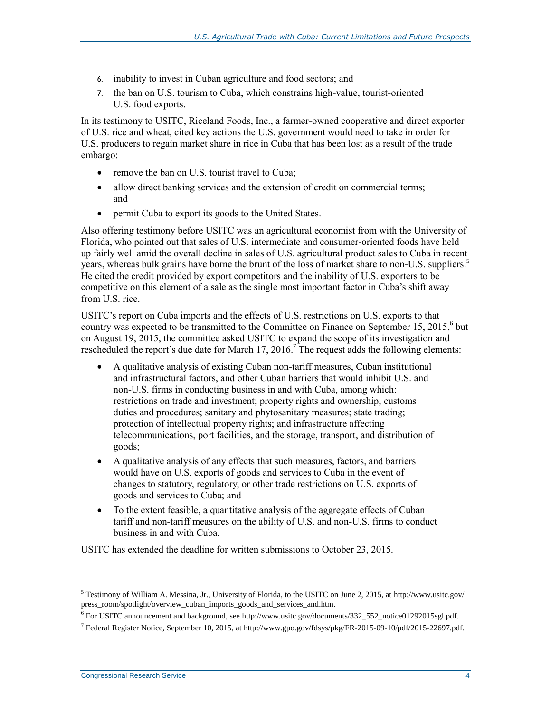- 6. inability to invest in Cuban agriculture and food sectors; and
- 7. the ban on U.S. tourism to Cuba, which constrains high-value, tourist-oriented U.S. food exports.

In its testimony to USITC, Riceland Foods, Inc., a farmer-owned cooperative and direct exporter of U.S. rice and wheat, cited key actions the U.S. government would need to take in order for U.S. producers to regain market share in rice in Cuba that has been lost as a result of the trade embargo:

- remove the ban on U.S. tourist travel to Cuba;
- allow direct banking services and the extension of credit on commercial terms; and
- permit Cuba to export its goods to the United States.

Also offering testimony before USITC was an agricultural economist from with the University of Florida, who pointed out that sales of U.S. intermediate and consumer-oriented foods have held up fairly well amid the overall decline in sales of U.S. agricultural product sales to Cuba in recent years, whereas bulk grains have borne the brunt of the loss of market share to non-U.S. suppliers.<sup>5</sup> He cited the credit provided by export competitors and the inability of U.S. exporters to be competitive on this element of a sale as the single most important factor in Cuba's shift away from U.S. rice.

USITC's report on Cuba imports and the effects of U.S. restrictions on U.S. exports to that country was expected to be transmitted to the Committee on Finance on September 15, 2015, 6 but on August 19, 2015, the committee asked USITC to expand the scope of its investigation and rescheduled the report's due date for March 17, 2016.<sup>7</sup> The request adds the following elements:

- A qualitative analysis of existing Cuban non-tariff measures, Cuban institutional and infrastructural factors, and other Cuban barriers that would inhibit U.S. and non-U.S. firms in conducting business in and with Cuba, among which: restrictions on trade and investment; property rights and ownership; customs duties and procedures; sanitary and phytosanitary measures; state trading; protection of intellectual property rights; and infrastructure affecting telecommunications, port facilities, and the storage, transport, and distribution of goods;
- A qualitative analysis of any effects that such measures, factors, and barriers would have on U.S. exports of goods and services to Cuba in the event of changes to statutory, regulatory, or other trade restrictions on U.S. exports of goods and services to Cuba; and
- To the extent feasible, a quantitative analysis of the aggregate effects of Cuban tariff and non-tariff measures on the ability of U.S. and non-U.S. firms to conduct business in and with Cuba.

USITC has extended the deadline for written submissions to October 23, 2015.

<sup>5</sup> Testimony of William A. Messina, Jr., University of Florida, to the USITC on June 2, 2015, at http://www.usitc.gov/ press\_room/spotlight/overview\_cuban\_imports\_goods\_and\_services\_and.htm.

<sup>6</sup> For USITC announcement and background, see http://www.usitc.gov/documents/332\_552\_notice01292015sgl.pdf.

<sup>7</sup> Federal Register Notice, September 10, 2015, at http://www.gpo.gov/fdsys/pkg/FR-2015-09-10/pdf/2015-22697.pdf.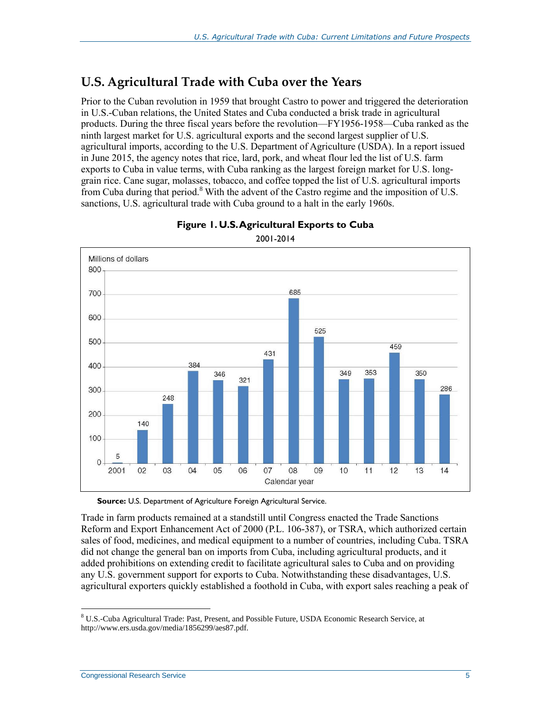### **U.S. Agricultural Trade with Cuba over the Years**

Prior to the Cuban revolution in 1959 that brought Castro to power and triggered the deterioration in U.S.-Cuban relations, the United States and Cuba conducted a brisk trade in agricultural products. During the three fiscal years before the revolution—FY1956-1958—Cuba ranked as the ninth largest market for U.S. agricultural exports and the second largest supplier of U.S. agricultural imports, according to the U.S. Department of Agriculture (USDA). In a report issued in June 2015, the agency notes that rice, lard, pork, and wheat flour led the list of U.S. farm exports to Cuba in value terms, with Cuba ranking as the largest foreign market for U.S. longgrain rice. Cane sugar, molasses, tobacco, and coffee topped the list of U.S. agricultural imports from Cuba during that period.<sup>8</sup> With the advent of the Castro regime and the imposition of U.S. sanctions, U.S. agricultural trade with Cuba ground to a halt in the early 1960s.

<span id="page-7-0"></span>



**Source:** U.S. Department of Agriculture Foreign Agricultural Service.

Trade in farm products remained at a standstill until Congress enacted the Trade Sanctions Reform and Export Enhancement Act of 2000 (P.L. 106-387), or TSRA, which authorized certain sales of food, medicines, and medical equipment to a number of countries, including Cuba. TSRA did not change the general ban on imports from Cuba, including agricultural products, and it added prohibitions on extending credit to facilitate agricultural sales to Cuba and on providing any U.S. government support for exports to Cuba. Notwithstanding these disadvantages, U.S. agricultural exporters quickly established a foothold in Cuba, with export sales reaching a peak of

<sup>8</sup> U.S.-Cuba Agricultural Trade: Past, Present, and Possible Future, USDA Economic Research Service, at http://www.ers.usda.gov/media/1856299/aes87.pdf.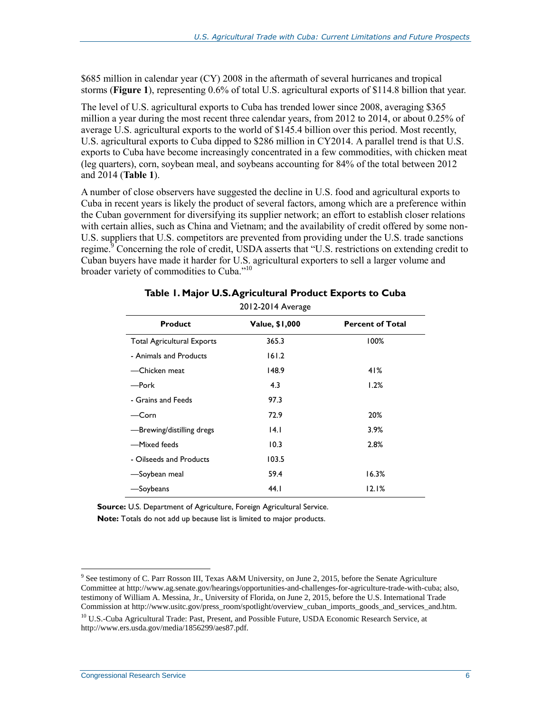\$685 million in calendar year (CY) 2008 in the aftermath of several hurricanes and tropical storms (**[Figure 1](#page-7-0)**), representing 0.6% of total U.S. agricultural exports of \$114.8 billion that year.

The level of U.S. agricultural exports to Cuba has trended lower since 2008, averaging \$365 million a year during the most recent three calendar years, from 2012 to 2014, or about 0.25% of average U.S. agricultural exports to the world of \$145.4 billion over this period. Most recently, U.S. agricultural exports to Cuba dipped to \$286 million in CY2014. A parallel trend is that U.S. exports to Cuba have become increasingly concentrated in a few commodities, with chicken meat (leg quarters), corn, soybean meal, and soybeans accounting for 84% of the total between 2012 and 2014 (**[Table 1](#page-8-0)**).

A number of close observers have suggested the decline in U.S. food and agricultural exports to Cuba in recent years is likely the product of several factors, among which are a preference within the Cuban government for diversifying its supplier network; an effort to establish closer relations with certain allies, such as China and Vietnam; and the availability of credit offered by some non-U.S. suppliers that U.S. competitors are prevented from providing under the U.S. trade sanctions regime.<sup>9</sup> Concerning the role of credit, USDA asserts that "U.S. restrictions on extending credit to Cuban buyers have made it harder for U.S. agricultural exporters to sell a larger volume and broader variety of commodities to Cuba."<sup>10</sup>

<span id="page-8-0"></span>

| 2012-2014 Average                 |                       |                         |  |  |  |
|-----------------------------------|-----------------------|-------------------------|--|--|--|
| <b>Product</b>                    | <b>Value, \$1,000</b> | <b>Percent of Total</b> |  |  |  |
| <b>Total Agricultural Exports</b> | 365.3                 | 100%                    |  |  |  |
| - Animals and Products            | 161.2                 |                         |  |  |  |
| —Chicken meat                     | 148.9                 | 41%                     |  |  |  |
| —Pork                             | 4.3                   | 1.2%                    |  |  |  |
| - Grains and Feeds                | 97.3                  |                         |  |  |  |
| –Corn                             | 72.9                  | 20%                     |  |  |  |
| -Brewing/distilling dregs         | 14.1                  | 3.9%                    |  |  |  |
| -Mixed feeds                      | 10.3                  | 2.8%                    |  |  |  |
| - Oilseeds and Products           | 103.5                 |                         |  |  |  |
| -Soybean meal                     | 59.4                  | 16.3%                   |  |  |  |
| —Soybeans                         | 44. I                 | 12.1%                   |  |  |  |

#### **Table 1. Major U.S. Agricultural Product Exports to Cuba**

**Source:** U.S. Department of Agriculture, Foreign Agricultural Service.

**Note:** Totals do not add up because list is limited to major products.

<sup>&</sup>lt;sup>9</sup> See testimony of C. Parr Rosson III, Texas A&M University, on June 2, 2015, before the Senate Agriculture Committee at http://www.ag.senate.gov/hearings/opportunities-and-challenges-for-agriculture-trade-with-cuba; also, testimony of William A. Messina, Jr., University of Florida, on June 2, 2015, before the U.S. International Trade Commission at http://www.usitc.gov/press\_room/spotlight/overview\_cuban\_imports\_goods\_and\_services\_and.htm.

<sup>&</sup>lt;sup>10</sup> U.S.-Cuba Agricultural Trade: Past, Present, and Possible Future, USDA Economic Research Service, at http://www.ers.usda.gov/media/1856299/aes87.pdf.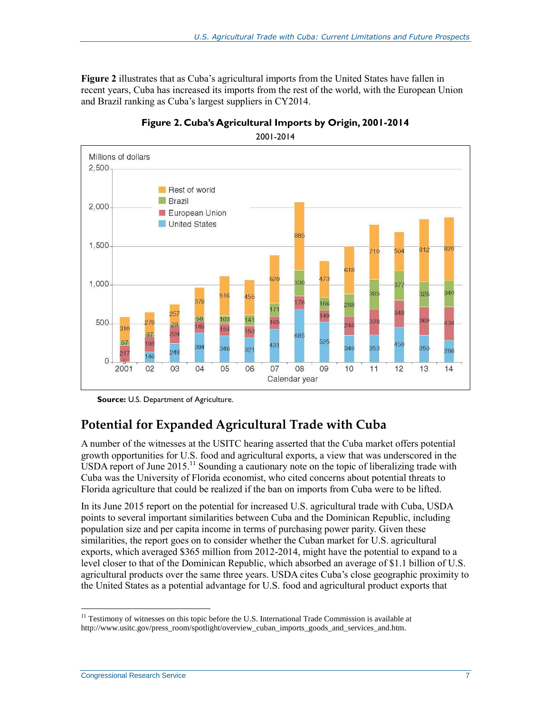**[Figure 2](#page-9-0)** illustrates that as Cuba's agricultural imports from the United States have fallen in recent years, Cuba has increased its imports from the rest of the world, with the European Union and Brazil ranking as Cuba's largest suppliers in CY2014.

<span id="page-9-0"></span>



2001-2014

### **Potential for Expanded Agricultural Trade with Cuba**

A number of the witnesses at the USITC hearing asserted that the Cuba market offers potential growth opportunities for U.S. food and agricultural exports, a view that was underscored in the USDA report of June  $2015$ .<sup>11</sup> Sounding a cautionary note on the topic of liberalizing trade with Cuba was the University of Florida economist, who cited concerns about potential threats to Florida agriculture that could be realized if the ban on imports from Cuba were to be lifted.

In its June 2015 report on the potential for increased U.S. agricultural trade with Cuba, USDA points to several important similarities between Cuba and the Dominican Republic, including population size and per capita income in terms of purchasing power parity. Given these similarities, the report goes on to consider whether the Cuban market for U.S. agricultural exports, which averaged \$365 million from 2012-2014, might have the potential to expand to a level closer to that of the Dominican Republic, which absorbed an average of \$1.1 billion of U.S. agricultural products over the same three years. USDA cites Cuba's close geographic proximity to the United States as a potential advantage for U.S. food and agricultural product exports that

**Source:** U.S. Department of Agriculture.

<sup>&</sup>lt;sup>11</sup> Testimony of witnesses on this topic before the U.S. International Trade Commission is available at http://www.usitc.gov/press\_room/spotlight/overview\_cuban\_imports\_goods\_and\_services\_and.htm.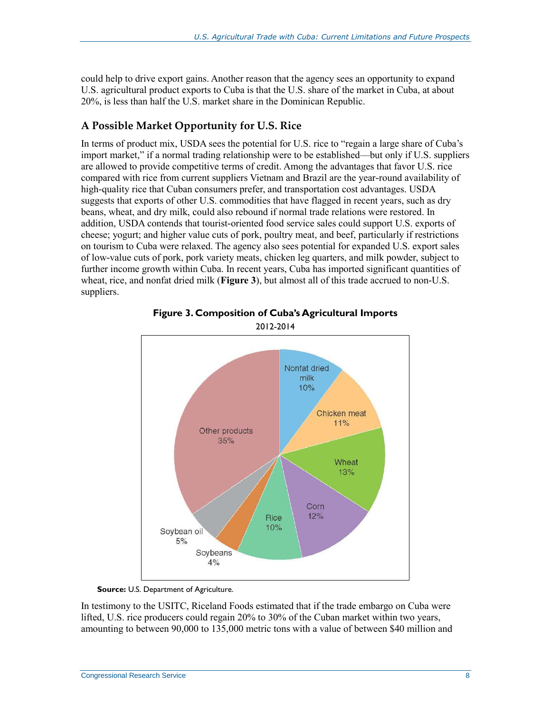could help to drive export gains. Another reason that the agency sees an opportunity to expand U.S. agricultural product exports to Cuba is that the U.S. share of the market in Cuba, at about 20%, is less than half the U.S. market share in the Dominican Republic.

#### **A Possible Market Opportunity for U.S. Rice**

In terms of product mix, USDA sees the potential for U.S. rice to "regain a large share of Cuba's import market," if a normal trading relationship were to be established—but only if U.S. suppliers are allowed to provide competitive terms of credit. Among the advantages that favor U.S. rice compared with rice from current suppliers Vietnam and Brazil are the year-round availability of high-quality rice that Cuban consumers prefer, and transportation cost advantages. USDA suggests that exports of other U.S. commodities that have flagged in recent years, such as dry beans, wheat, and dry milk, could also rebound if normal trade relations were restored. In addition, USDA contends that tourist-oriented food service sales could support U.S. exports of cheese; yogurt; and higher value cuts of pork, poultry meat, and beef, particularly if restrictions on tourism to Cuba were relaxed. The agency also sees potential for expanded U.S. export sales of low-value cuts of pork, pork variety meats, chicken leg quarters, and milk powder, subject to further income growth within Cuba. In recent years, Cuba has imported significant quantities of wheat, rice, and nonfat dried milk (**[Figure 3](#page-10-0)**), but almost all of this trade accrued to non-U.S. suppliers.

<span id="page-10-0"></span>



**Source:** U.S. Department of Agriculture.

In testimony to the USITC, Riceland Foods estimated that if the trade embargo on Cuba were lifted, U.S. rice producers could regain 20% to 30% of the Cuban market within two years, amounting to between 90,000 to 135,000 metric tons with a value of between \$40 million and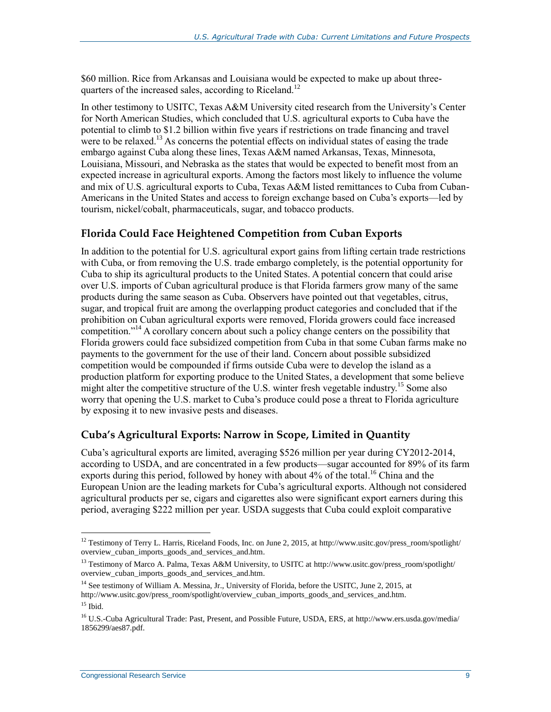\$60 million. Rice from Arkansas and Louisiana would be expected to make up about threequarters of the increased sales, according to Riceland.<sup>12</sup>

In other testimony to USITC, Texas A&M University cited research from the University's Center for North American Studies, which concluded that U.S. agricultural exports to Cuba have the potential to climb to \$1.2 billion within five years if restrictions on trade financing and travel were to be relaxed.<sup>13</sup> As concerns the potential effects on individual states of easing the trade embargo against Cuba along these lines, Texas A&M named Arkansas, Texas, Minnesota, Louisiana, Missouri, and Nebraska as the states that would be expected to benefit most from an expected increase in agricultural exports. Among the factors most likely to influence the volume and mix of U.S. agricultural exports to Cuba, Texas A&M listed remittances to Cuba from Cuban-Americans in the United States and access to foreign exchange based on Cuba's exports—led by tourism, nickel/cobalt, pharmaceuticals, sugar, and tobacco products.

#### **Florida Could Face Heightened Competition from Cuban Exports**

In addition to the potential for U.S. agricultural export gains from lifting certain trade restrictions with Cuba, or from removing the U.S. trade embargo completely, is the potential opportunity for Cuba to ship its agricultural products to the United States. A potential concern that could arise over U.S. imports of Cuban agricultural produce is that Florida farmers grow many of the same products during the same season as Cuba. Observers have pointed out that vegetables, citrus, sugar, and tropical fruit are among the overlapping product categories and concluded that if the prohibition on Cuban agricultural exports were removed, Florida growers could face increased competition."<sup>14</sup> A corollary concern about such a policy change centers on the possibility that Florida growers could face subsidized competition from Cuba in that some Cuban farms make no payments to the government for the use of their land. Concern about possible subsidized competition would be compounded if firms outside Cuba were to develop the island as a production platform for exporting produce to the United States, a development that some believe might alter the competitive structure of the U.S. winter fresh vegetable industry.<sup>15</sup> Some also worry that opening the U.S. market to Cuba's produce could pose a threat to Florida agriculture by exposing it to new invasive pests and diseases.

#### **Cuba's Agricultural Exports: Narrow in Scope, Limited in Quantity**

Cuba's agricultural exports are limited, averaging \$526 million per year during CY2012-2014, according to USDA, and are concentrated in a few products—sugar accounted for 89% of its farm exports during this period, followed by honey with about 4% of the total.<sup>16</sup> China and the European Union are the leading markets for Cuba's agricultural exports. Although not considered agricultural products per se, cigars and cigarettes also were significant export earners during this period, averaging \$222 million per year. USDA suggests that Cuba could exploit comparative

<sup>&</sup>lt;sup>12</sup> Testimony of Terry L. Harris, Riceland Foods, Inc. on June 2, 2015, at http://www.usitc.gov/press\_room/spotlight/ overview\_cuban\_imports\_goods\_and\_services\_and.htm.

<sup>13</sup> Testimony of Marco A. Palma, Texas A&M University, to USITC at http://www.usitc.gov/press\_room/spotlight/ overview\_cuban\_imports\_goods\_and\_services\_and.htm.

<sup>&</sup>lt;sup>14</sup> See testimony of William A. Messina, Jr., University of Florida, before the USITC, June 2, 2015, at http://www.usitc.gov/press\_room/spotlight/overview\_cuban\_imports\_goods\_and\_services\_and.htm.

 $15$  Ibid.

<sup>16</sup> U.S.-Cuba Agricultural Trade: Past, Present, and Possible Future, USDA, ERS, at http://www.ers.usda.gov/media/ 1856299/aes87.pdf.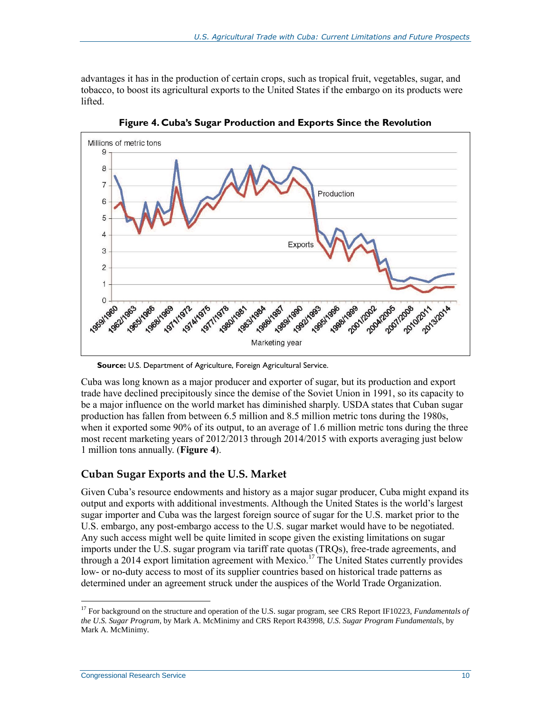advantages it has in the production of certain crops, such as tropical fruit, vegetables, sugar, and tobacco, to boost its agricultural exports to the United States if the embargo on its products were lifted.

<span id="page-12-0"></span>

**Figure 4. Cuba's Sugar Production and Exports Since the Revolution**

Cuba was long known as a major producer and exporter of sugar, but its production and export trade have declined precipitously since the demise of the Soviet Union in 1991, so its capacity to be a major influence on the world market has diminished sharply. USDA states that Cuban sugar production has fallen from between 6.5 million and 8.5 million metric tons during the 1980s, when it exported some 90% of its output, to an average of 1.6 million metric tons during the three most recent marketing years of 2012/2013 through 2014/2015 with exports averaging just below 1 million tons annually. (**[Figure 4](#page-12-0)**).

#### **Cuban Sugar Exports and the U.S. Market**

Given Cuba's resource endowments and history as a major sugar producer, Cuba might expand its output and exports with additional investments. Although the United States is the world's largest sugar importer and Cuba was the largest foreign source of sugar for the U.S. market prior to the U.S. embargo, any post-embargo access to the U.S. sugar market would have to be negotiated. Any such access might well be quite limited in scope given the existing limitations on sugar imports under the U.S. sugar program via tariff rate quotas (TRQs), free-trade agreements, and through a 2014 export limitation agreement with Mexico.<sup>17</sup> The United States currently provides low- or no-duty access to most of its supplier countries based on historical trade patterns as determined under an agreement struck under the auspices of the World Trade Organization.

**Source:** U.S. Department of Agriculture, Foreign Agricultural Service.

<sup>17</sup> For background on the structure and operation of the U.S. sugar program, see CRS Report IF10223, *Fundamentals of the U.S. Sugar Program*, by Mark A. McMinimy and CRS Report R43998, *U.S. Sugar Program Fundamentals*, by Mark A. McMinimy.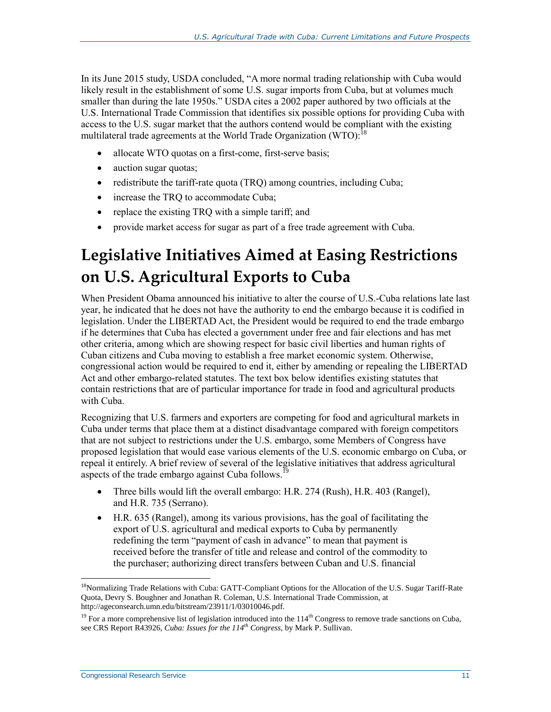In its June 2015 study, USDA concluded, "A more normal trading relationship with Cuba would likely result in the establishment of some U.S. sugar imports from Cuba, but at volumes much smaller than during the late 1950s." USDA cites a 2002 paper authored by two officials at the U.S. International Trade Commission that identifies six possible options for providing Cuba with access to the U.S. sugar market that the authors contend would be compliant with the existing multilateral trade agreements at the World Trade Organization (WTO):<sup>18</sup>

- allocate WTO quotas on a first-come, first-serve basis;
- auction sugar quotas;
- redistribute the tariff-rate quota (TRQ) among countries, including Cuba;
- increase the TRQ to accommodate Cuba;
- replace the existing TRQ with a simple tariff; and
- provide market access for sugar as part of a free trade agreement with Cuba.

## **Legislative Initiatives Aimed at Easing Restrictions on U.S. Agricultural Exports to Cuba**

When President Obama announced his initiative to alter the course of U.S.-Cuba relations late last year, he indicated that he does not have the authority to end the embargo because it is codified in legislation. Under the LIBERTAD Act, the President would be required to end the trade embargo if he determines that Cuba has elected a government under free and fair elections and has met other criteria, among which are showing respect for basic civil liberties and human rights of Cuban citizens and Cuba moving to establish a free market economic system. Otherwise, congressional action would be required to end it, either by amending or repealing the LIBERTAD Act and other embargo-related statutes. The text box below identifies existing statutes that contain restrictions that are of particular importance for trade in food and agricultural products with Cuba.

Recognizing that U.S. farmers and exporters are competing for food and agricultural markets in Cuba under terms that place them at a distinct disadvantage compared with foreign competitors that are not subject to restrictions under the U.S. embargo, some Members of Congress have proposed legislation that would ease various elements of the U.S. economic embargo on Cuba, or repeal it entirely. A brief review of several of the legislative initiatives that address agricultural aspects of the trade embargo against Cuba follows.<sup>19</sup>

- Three bills would lift the overall embargo: H.R. 274 (Rush), H.R. 403 (Rangel), and H.R. 735 (Serrano).
- H.R. 635 (Rangel), among its various provisions, has the goal of facilitating the export of U.S. agricultural and medical exports to Cuba by permanently redefining the term "payment of cash in advance" to mean that payment is received before the transfer of title and release and control of the commodity to the purchaser; authorizing direct transfers between Cuban and U.S. financial

<sup>&</sup>lt;sup>18</sup>Normalizing Trade Relations with Cuba: GATT-Compliant Options for the Allocation of the U.S. Sugar Tariff-Rate Quota, Devry S. Boughner and Jonathan R. Coleman, U.S. International Trade Commission, at http://ageconsearch.umn.edu/bitstream/23911/1/03010046.pdf.

 $19$  For a more comprehensive list of legislation introduced into the  $114<sup>th</sup>$  Congress to remove trade sanctions on Cuba, see CRS Report R43926, *Cuba: Issues for the 114th Congress*, by Mark P. Sullivan.